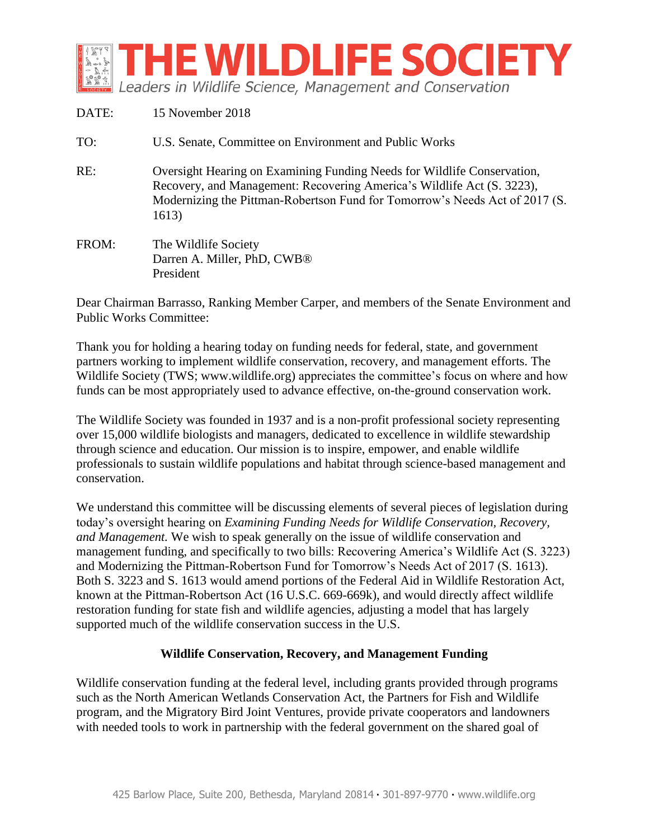

| DATE: | 15 November 2018                                                                                                                                                                                                                          |
|-------|-------------------------------------------------------------------------------------------------------------------------------------------------------------------------------------------------------------------------------------------|
| TO:   | U.S. Senate, Committee on Environment and Public Works                                                                                                                                                                                    |
| RE:   | Oversight Hearing on Examining Funding Needs for Wildlife Conservation,<br>Recovery, and Management: Recovering America's Wildlife Act (S. 3223),<br>Modernizing the Pittman-Robertson Fund for Tomorrow's Needs Act of 2017 (S.<br>1613) |
| FROM: | The Wildlife Society<br>Darren A. Miller, PhD, CWB®<br>President                                                                                                                                                                          |

Dear Chairman Barrasso, Ranking Member Carper, and members of the Senate Environment and Public Works Committee:

Thank you for holding a hearing today on funding needs for federal, state, and government partners working to implement wildlife conservation, recovery, and management efforts. The Wildlife Society (TWS; www.wildlife.org) appreciates the committee's focus on where and how funds can be most appropriately used to advance effective, on-the-ground conservation work.

The Wildlife Society was founded in 1937 and is a non-profit professional society representing over 15,000 wildlife biologists and managers, dedicated to excellence in wildlife stewardship through science and education. Our mission is to inspire, empower, and enable wildlife professionals to sustain wildlife populations and habitat through science-based management and conservation.

We understand this committee will be discussing elements of several pieces of legislation during today's oversight hearing on *Examining Funding Needs for Wildlife Conservation, Recovery, and Management.* We wish to speak generally on the issue of wildlife conservation and management funding, and specifically to two bills: Recovering America's Wildlife Act (S. 3223) and Modernizing the Pittman-Robertson Fund for Tomorrow's Needs Act of 2017 (S. 1613). Both S. 3223 and S. 1613 would amend portions of the Federal Aid in Wildlife Restoration Act, known at the Pittman-Robertson Act (16 U.S.C. 669-669k), and would directly affect wildlife restoration funding for state fish and wildlife agencies, adjusting a model that has largely supported much of the wildlife conservation success in the U.S.

## **Wildlife Conservation, Recovery, and Management Funding**

Wildlife conservation funding at the federal level, including grants provided through programs such as the North American Wetlands Conservation Act, the Partners for Fish and Wildlife program, and the Migratory Bird Joint Ventures, provide private cooperators and landowners with needed tools to work in partnership with the federal government on the shared goal of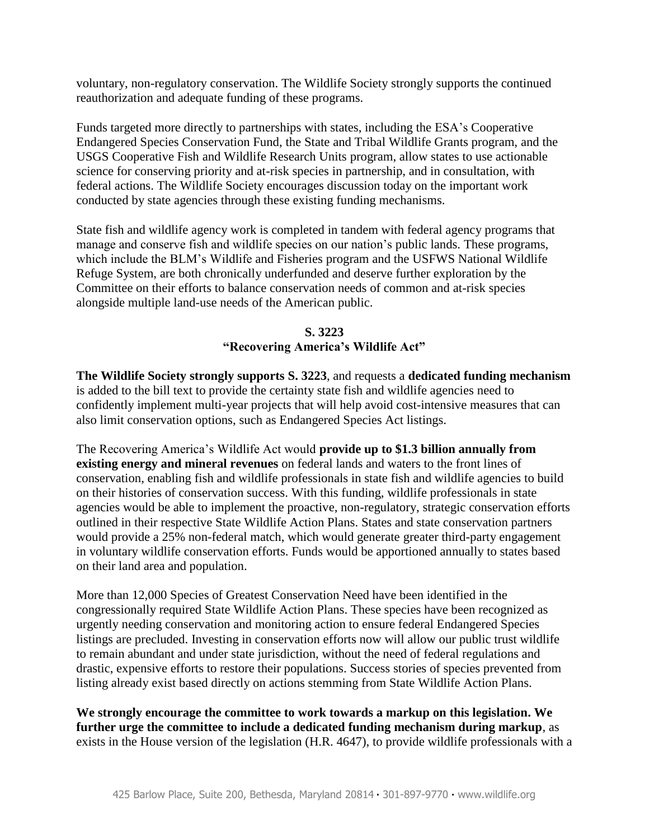voluntary, non-regulatory conservation. The Wildlife Society strongly supports the continued reauthorization and adequate funding of these programs.

Funds targeted more directly to partnerships with states, including the ESA's Cooperative Endangered Species Conservation Fund, the State and Tribal Wildlife Grants program, and the USGS Cooperative Fish and Wildlife Research Units program, allow states to use actionable science for conserving priority and at-risk species in partnership, and in consultation, with federal actions. The Wildlife Society encourages discussion today on the important work conducted by state agencies through these existing funding mechanisms.

State fish and wildlife agency work is completed in tandem with federal agency programs that manage and conserve fish and wildlife species on our nation's public lands. These programs, which include the BLM's Wildlife and Fisheries program and the USFWS National Wildlife Refuge System, are both chronically underfunded and deserve further exploration by the Committee on their efforts to balance conservation needs of common and at-risk species alongside multiple land-use needs of the American public.

## **S. 3223 "Recovering America's Wildlife Act"**

**The Wildlife Society strongly supports S. 3223**, and requests a **dedicated funding mechanism**  is added to the bill text to provide the certainty state fish and wildlife agencies need to confidently implement multi-year projects that will help avoid cost-intensive measures that can also limit conservation options, such as Endangered Species Act listings.

The Recovering America's Wildlife Act would **provide up to \$1.3 billion annually from existing energy and mineral revenues** on federal lands and waters to the front lines of conservation, enabling fish and wildlife professionals in state fish and wildlife agencies to build on their histories of conservation success. With this funding, wildlife professionals in state agencies would be able to implement the proactive, non-regulatory, strategic conservation efforts outlined in their respective State Wildlife Action Plans. States and state conservation partners would provide a 25% non-federal match, which would generate greater third-party engagement in voluntary wildlife conservation efforts. Funds would be apportioned annually to states based on their land area and population.

More than 12,000 Species of Greatest Conservation Need have been identified in the congressionally required State Wildlife Action Plans. These species have been recognized as urgently needing conservation and monitoring action to ensure federal Endangered Species listings are precluded. Investing in conservation efforts now will allow our public trust wildlife to remain abundant and under state jurisdiction, without the need of federal regulations and drastic, expensive efforts to restore their populations. Success stories of species prevented from listing already exist based directly on actions stemming from State Wildlife Action Plans.

**We strongly encourage the committee to work towards a markup on this legislation. We further urge the committee to include a dedicated funding mechanism during markup**, as exists in the House version of the legislation (H.R. 4647), to provide wildlife professionals with a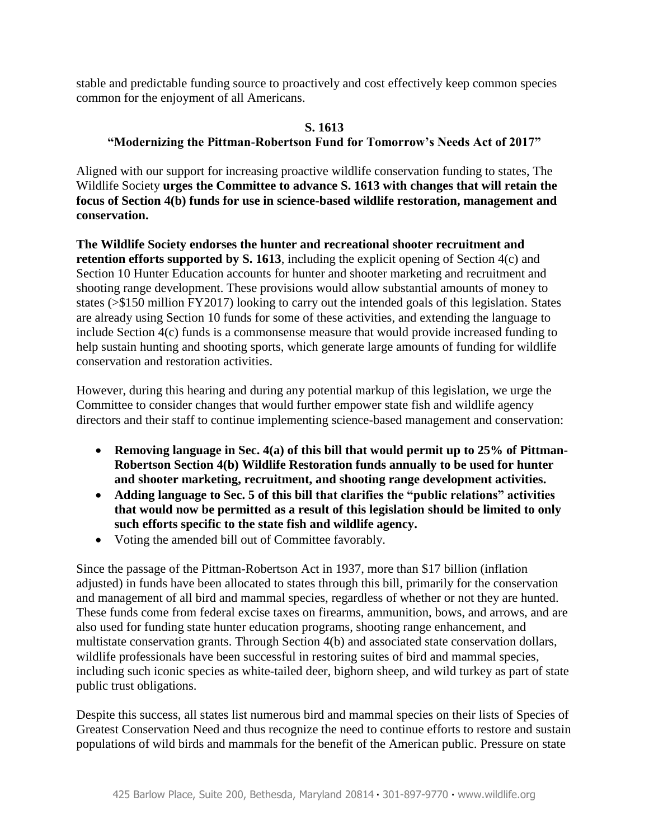stable and predictable funding source to proactively and cost effectively keep common species common for the enjoyment of all Americans.

## **S. 1613 "Modernizing the Pittman-Robertson Fund for Tomorrow's Needs Act of 2017"**

Aligned with our support for increasing proactive wildlife conservation funding to states, The Wildlife Society **urges the Committee to advance S. 1613 with changes that will retain the focus of Section 4(b) funds for use in science-based wildlife restoration, management and conservation.**

**The Wildlife Society endorses the hunter and recreational shooter recruitment and retention efforts supported by S. 1613**, including the explicit opening of Section 4(c) and Section 10 Hunter Education accounts for hunter and shooter marketing and recruitment and shooting range development. These provisions would allow substantial amounts of money to states (>\$150 million FY2017) looking to carry out the intended goals of this legislation. States are already using Section 10 funds for some of these activities, and extending the language to include Section 4(c) funds is a commonsense measure that would provide increased funding to help sustain hunting and shooting sports, which generate large amounts of funding for wildlife conservation and restoration activities.

However, during this hearing and during any potential markup of this legislation, we urge the Committee to consider changes that would further empower state fish and wildlife agency directors and their staff to continue implementing science-based management and conservation:

- Removing language in Sec. 4(a) of this bill that would permit up to 25% of Pittman-**Robertson Section 4(b) Wildlife Restoration funds annually to be used for hunter and shooter marketing, recruitment, and shooting range development activities.**
- **Adding language to Sec. 5 of this bill that clarifies the "public relations" activities that would now be permitted as a result of this legislation should be limited to only such efforts specific to the state fish and wildlife agency.**
- Voting the amended bill out of Committee favorably.

Since the passage of the Pittman-Robertson Act in 1937, more than \$17 billion (inflation adjusted) in funds have been allocated to states through this bill, primarily for the conservation and management of all bird and mammal species, regardless of whether or not they are hunted. These funds come from federal excise taxes on firearms, ammunition, bows, and arrows, and are also used for funding state hunter education programs, shooting range enhancement, and multistate conservation grants. Through Section 4(b) and associated state conservation dollars, wildlife professionals have been successful in restoring suites of bird and mammal species, including such iconic species as white-tailed deer, bighorn sheep, and wild turkey as part of state public trust obligations.

Despite this success, all states list numerous bird and mammal species on their lists of Species of Greatest Conservation Need and thus recognize the need to continue efforts to restore and sustain populations of wild birds and mammals for the benefit of the American public. Pressure on state